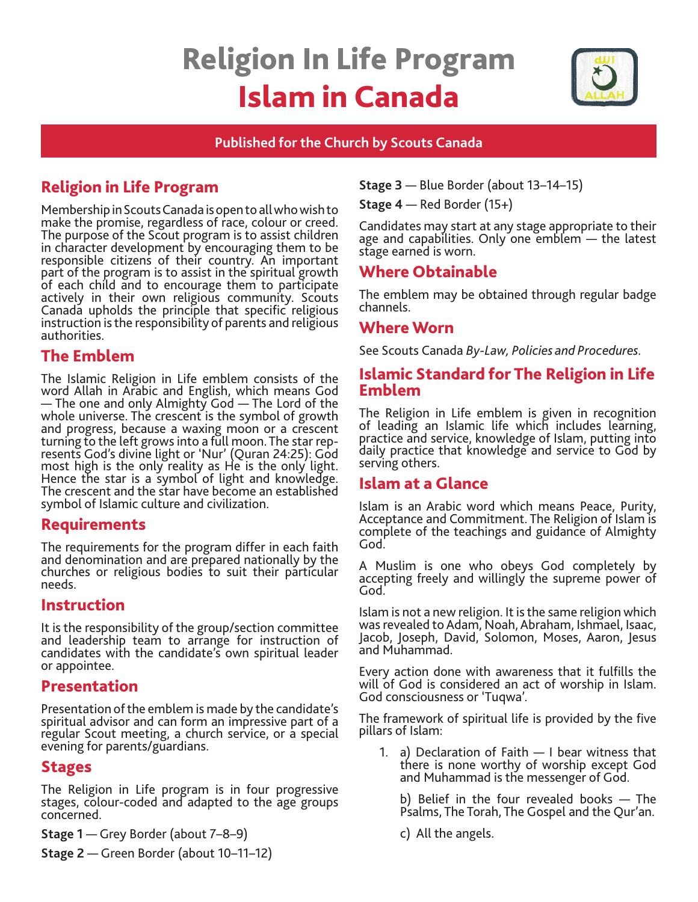# Religion In Life Program Islam in Canada



#### **Published for the Church by Scouts Canada**

# Religion in Life Program

Membership in Scouts Canada is open to all who wish to make the promise, regardless of race, colour or creed. The purpose of the Scout program is to assist children in character development by encouraging them to be responsible citizens of their country. An important part of the program is to assist in the spiritual growth of each child and to encourage them to participate actively in their own religious community. Scouts Canada upholds the principle that specific religious instruction is the responsibility of parents and religious authorities.

# The Emblem

The Islamic Religion in Life emblem consists of the word Allah in Arabic and English, which means God — The one and only Almighty God — The Lord of the whole universe. The crescent is the symbol of growth and progress, because a waxing moon or a crescent turning to the left grows into a full moon. The star represents God's divine light or 'Nur' (Quran 24:25): God most high is the only reality as He is the only light. Hence the star is a symbol of light and knowledge. The crescent and the star have become an established symbol of Islamic culture and civilization.

# Requirements

The requirements for the program differ in each faith and denomination and are prepared nationally by the churches or religious bodies to suit their particular needs.

## Instruction

It is the responsibility of the group/section committee and leadership team to arrange for instruction of candidates with the candidate's own spiritual leader or appointee.

# Presentation

Presentation of the emblem is made by the candidate's spiritual advisor and can form an impressive part of a regular Scout meeting, a church service, or a special evening for parents/guardians.

# Stages

The Religion in Life program is in four progressive stages, colour-coded and adapted to the age groups concerned.

**Stage 1** — Grey Border (about 7–8–9)

**Stage 2** — Green Border (about 10–11–12)

**Stage 3** — Blue Border (about 13–14–15)

**Stage 4** — Red Border (15+)

Candidates may start at any stage appropriate to their age and capabilities. Only one emblem - the latest stage earned is worn.

# Where Obtainable

The emblem may be obtained through regular badge channels.

# Where Worn

See Scouts Canada *By-Law, Policies and Procedures.* 

## Islamic Standard for The Religion in Life Emblem

The Religion in Life emblem is given in recognition of leading an Islamic life which includes learning, practice and service, knowledge of Islam, putting into daily practice that knowledge and service to God by serving others.

# Islam at a Glance

Islam is an Arabic word which means Peace, Purity, Acceptance and Commitment. The Religion of Islam is complete of the teachings and guidance of Almighty God.

A Muslim is one who obeys God completely by accepting freely and willingly the supreme power of God.

Islam is not a new religion. It is the same religion which was revealed to Adam, Noah, Abraham, Ishmael, Isaac, Jacob, Joseph, David, Solomon, Moses, Aaron, Jesus and Muhammad.

Every action done with awareness that it fulfills the will of God is considered an act of worship in Islam. God consciousness or 'Tuqwa'.

The framework of spiritual life is provided by the five pillars of Islam:

1. a) Declaration of Faith — I bear witness that there is none worthy of worship except God and Muhammad is the messenger of God.

b) Belief in the four revealed books — The Psalms, The Torah, The Gospel and the Qur'an.

c) All the angels.